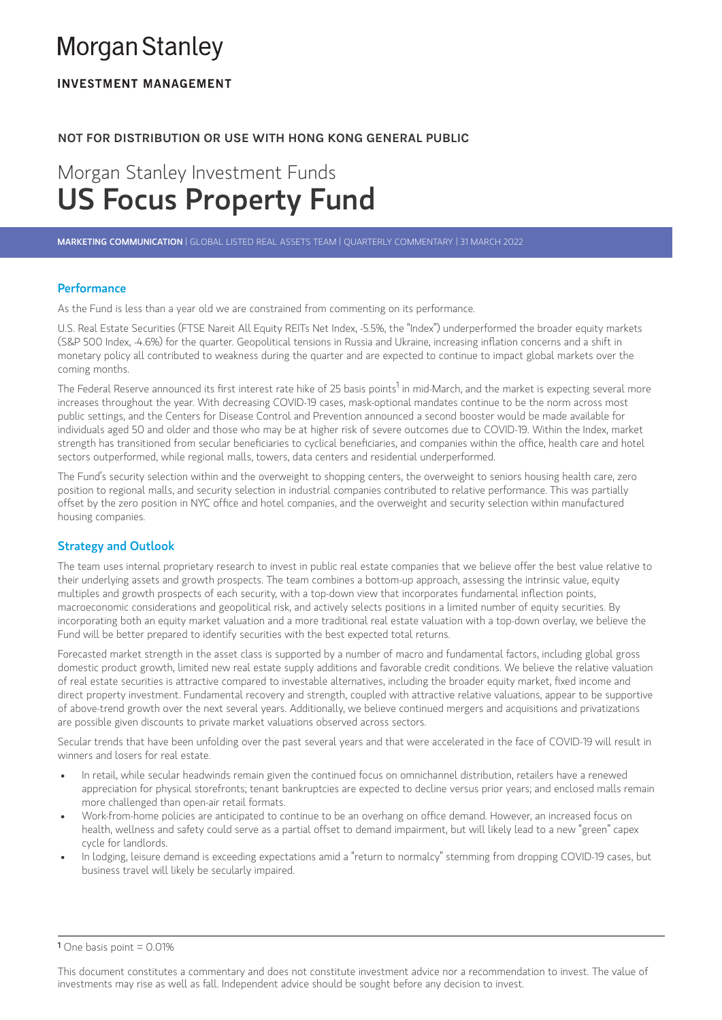# **Morgan Stanley**

## **INVESTMENT MANAGEMENT**

## **NOT FOR DISTRIBUTION OR USE WITH HONG KONG GENERAL PUBLIC**

## Morgan Stanley Investment Funds US Focus Property Fund

MARKETING COMMUNICATION |GLOBAL LISTED REAL ASSETS TEAM |QUARTERLY COMMENTARY | 31 MARCH 2022

## **Performance**

As the Fund is less than a year old we are constrained from commenting on its performance.

U.S. Real Estate Securities (FTSE Nareit All Equity REITs Net Index, -5.5%, the "Index") underperformed the broader equity markets **Performance**<br>As the Fund is less than a year old we are constrained from commenting on its performance.<br>U.S. Real Estate Securities (FTSE Nareit All Equity REITs Net Index, -5.5%, the "Index") underperformed the broader e monetary policy all contributed to weakness during the quarter and are expected to continue to impact global markets over the coming months. U.S. Real Estate Securities (FTSE Nareit All Equity REITs Net Index, -5.5%, the "Index") underperformed the broader equity markets<br>(S&P 500 Index, -4.6%) for the quarter. Geopolitical tensions in Russia and Ukraine, increa

increases throughout the year. With decreasing COVID-19 cases, mask-optional mandates continue to be the norm across most public settings, and the Centers for Disease Control and Prevention announced a second booster would be made available for individuals aged 50 and older and those who may be at higher risk of severe outcomes due to COVID-19. Within the Index, market The Federal Reserve announced its first interest rate hike of 25 basis points<sup>1</sup> in mid-March, and the market is expecting several more<br>increases throughout the year. With decreasing COVID-19 cases, mask-optional mandates sectors outperformed, while regional malls, towers, data centers and residential underperformed.

The Fund's security selection within and the overweight to shopping centers, the overweight to seniors housing health care, zero position to regional malls, and security selection in industrial companies contributed to relative performance. This was partially offering the standard mom secular beneficiality to yellocal contributions, and companies within the onice, neater cand in<br>sectors outperformed, while regional malls, towers, data centers and residential underperformed.<br>The housing companies.

## Strategy and Outlook

The team uses internal proprietary research to invest in public real estate companies that we believe offer the best value relative to their underlying assets and growth prospects. The team combines a bottom-up approach, assessing the intrinsic value, equity **Strategy and Outlook**<br>The team uses internal proprietary research to invest in public real estate companies that we believe offer the best value,<br>their underlying assets and growth prospects. The team combines a bottom-up macroeconomic considerations and geopolitical risk, and actively selects positions in a limited number of equity securities. By incorporating both an equity market valuation and a more traditional real estate valuation with a top-down overlay, we believe the Fund will be better prepared to identify securities with the best expected total returns.

Forecasted market strength in the asset class is supported by a number of macro and fundamental factors, including global gross domestic product growth, limited new real estate supply additions and favorable credit conditions. We believe the relative valuation Forecasted market strength in the asset class is supported by a number of macro and fundamental factors, including global gros<br>domestic product growth, limited new real estate supply additions and favorable credit conditio direct property investment. Fundamental recovery and strength, coupled with attractive relative valuations, appear to be supportive of above-trend growth over the next several years. Additionally, we believe continued mergers and acquisitions and privatizations are possible given discounts to private market valuations observed across sectors.

Secular trends that have been unfolding over the past several years and that were accelerated in the face of COVID-19 will result in winners and losers for real estate.

- In retail, while secular headwinds remain given the continued focus on omnichannel distribution, retailers have a renewed appreciation for physical storefronts; tenant bankruptcies are expected to decline versus prior years; and enclosed malls remain more challenged than open-air retail formats.
- Work-from-home policies are anticipated to continue to be an overhang on office demand. However, an increased focus on health, wellness and safety could serve as a partial offset to demand impairment, but will likely lead to a new "green" capex cycle for landlords.
- In lodging, leisure demand is exceeding expectations amid a "return to normalcy" stemming from dropping COVID-19 cases, but business travel will likely be secularly impaired.

This document constitutes a commentary and does not constitute investment advice nor a recommendation to invest. The value of investments may rise as well as fall. Independent advice should be sought before any decision to invest.

 $1$  One basis point = 0.01%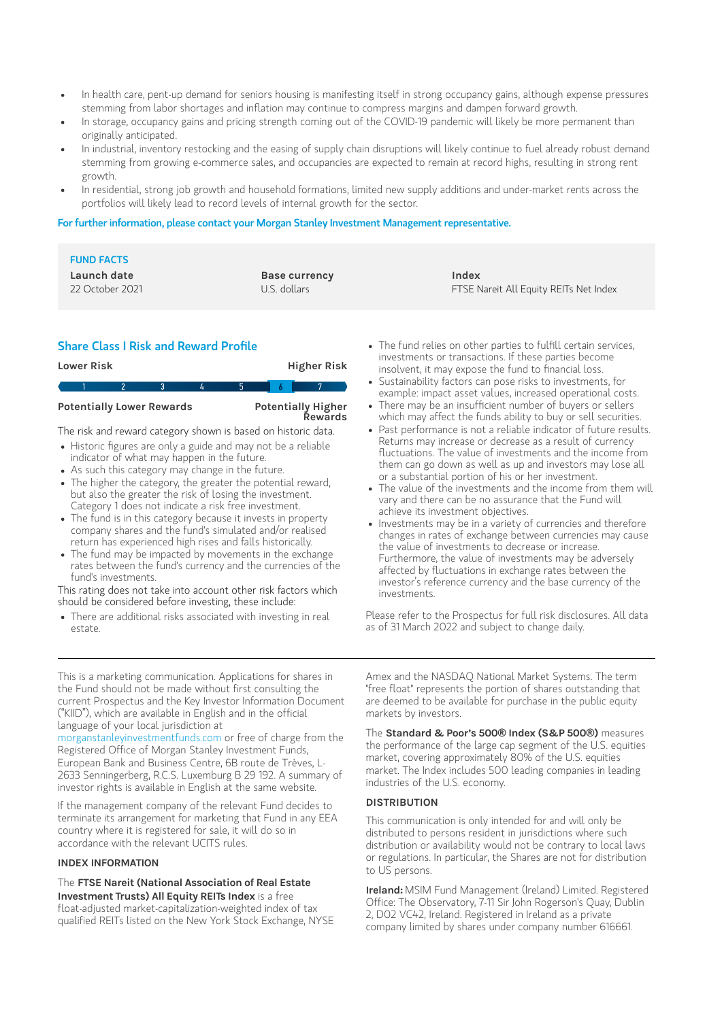- In health care, pent-up demand for seniors housing is manifesting itself in strong occupancy gains, although expense pressures In health care, pent-up demand for seniors housing is manifesting itself in strong occupancy gains, although exp<br>stemming from labor shortages and inflation may continue to compress margins and dampen forward growth.
- In storage, occupancy gains and pricing strength coming out of the COVID-19 pandemic will likely be more permanent than originally anticipated.
- In industrial, inventory restocking and the easing of supply chain disruptions will likely continue to fuel already robust demand stemming from growing e-commerce sales, and occupancies are expected to remain at record highs, resulting in strong rent growth.
- In residential, strong job growth and household formations, limited new supply additions and under-market rents across the portfolios will likely lead to record levels of internal growth for the sector.

#### For further information, please contact your Morgan Stanley Investment Management representative.

| <b>FUND FACTS</b><br>Launch date<br>22 October 2021 | <b>Base currency</b><br>U.S. dollars | Index<br>FTSE Nareit All Equity REITs Net Index                 |
|-----------------------------------------------------|--------------------------------------|-----------------------------------------------------------------|
| Share Class I Risk and Reward Profile               |                                      | • The fund relies on other parties to fulfill certain services, |

### Share Class <sup>I</sup> Risk and Reward Profile

| <b>Higher Risk</b><br>Lower Risk                                  |  |  |   |    |     |                |  |  |
|-------------------------------------------------------------------|--|--|---|----|-----|----------------|--|--|
|                                                                   |  |  | 3 | ъ, | '5. | $\overline{b}$ |  |  |
| Potentially Higher<br>Rewards<br><b>Potentially Lower Rewards</b> |  |  |   |    |     |                |  |  |
| The risk and reward category shown is based on historic data.     |  |  |   |    |     |                |  |  |
| • Historic figures are only a guide and may not be a reliable     |  |  |   |    |     |                |  |  |

- indicator of what may happen in the future.
- As such this category may change in the future.
- The higher the category, the greater the potential reward, but also the greater the risk of losing the investment. Category 1 does not indicate a risk free investment.
- The fund is in this category because it invests in property company shares and the fund's simulated and/or realised return has experienced high rises and falls historically.
- The fund may be impacted by movements in the exchange rates between the fund's currency and the currencies of the fund's investments.

This rating does not take into account other risk factors which should be considered before investing, these include:

There are additional risks associated with investing in real estate.

- investments or transactions. If these parties become<br>insolvent, it may expose the fund to financial loss. The fund relies on other parties to fulfill certain se<br>investments or transactions. If these parties becon<br>insolvent, it may expose the fund to financial loss. The fund relies on other parties to fulfill certain services,<br>investments or transactions. If these parties become<br>insolvent, it may expose the fund to financial loss.<br>Sustainability factors can pose risks to investments,
- Sustainability factors can pose risks to investments, for example: impact asset values, increased operational costs.<br>There may be an insufficient number of buvers or sellers
- which may affect the funds ability to buy or sell securities.
- Past performance is not a reliable indicator of future results. Returns may increase or decrease as a result of currency<br>fluctuations. The value of investments and the income from xample: impact asset values, increased operational costs.<br>here may be an insufficient number of buyers or sellers<br>hich may affect the funds ability to buy or sell securities.<br>ast performance is not a reliable indicator of them can go down as well as up and investors may lose all or a substantial portion of his or her investment.
- The value of the investments and the income from them will vary and there can be no assurance that the Fund will achieve its investment objectives.
- $\bullet$  Investments may be in a variety of currencies and therefore changes in rates of exchange between currencies may cause the value of investments to decrease or increase. Furthermore, the value of investments may be adversely affected by fluctuations in exchange rates between the Investments may be in a variety of currencies and theref<br>changes in rates of exchange between currencies may ca<br>the value of investments to decrease or increase.<br>Furthermore, the value of investments may be adversely<br>affec investor's reference currency and the base currency of the investments.

Please refer to the Prospectus for full risk disclosures. All data as of 31 March 2022 and subject to change daily.

This is a marketing communication. Applications for shares in the Fund should not be made without first consulting the current Prospectus and the Key Investor Information Document ("KIID"), which are available in English and in the official language of your local jurisdiction at

[morganstanleyinvestmentfunds.com](https://www.morganstanley.com/im/msinvf/index.html) or free of charge from the Registered Office of Morgan Stanley Investment Funds, European Bank and Business Centre, 6B route de Trèves, L-2633 Senningerberg, R.C.S. Luxemburg B 29 192. A summary of investor rights is available in English at the same website.

If the management company of the relevant Fund decides to terminate its arrangement for marketing that Fund in any EEA country where it is registered for sale, it will do so in accordance with the relevant UCITS rules.

#### **INDEX INFORMATION**

The **FTSE Nareit (National Association of Real Estate Investment Trusts) All Equity REITs Index** is a free float-adjusted market-capitalization-weighted index of tax qualified REITs listed on the New York Stock Exchange, NYSE Amex and the NASDAQ National Market Systems. The term "free float" represents the portion of shares outstanding that are deemed to be available for purchase in the public equity markets by investors.

The **Standard & Poor's 500**® **Index (S&P 500**®**)** measures the performance of the large cap segment of the U.S. equities market, covering approximately 80% of the U.S. equities market. The Index includes 500 leading companies in leading industries of the U.S. economy.

#### **DISTRIBUTION**

This communication is only intended for and will only be distributed to persons resident in jurisdictions where such distribution or availability would not be contrary to local laws or regulations. In particular, the Shares are not for distribution to US persons.

**Ireland:** MSIM Fund Management (Ireland) Limited. Registered Office: The Observatory, 7-11 Sir John Rogerson's Quay, Dublin 2, D02 VC42, Ireland. Registered in Ireland as a private company limited by shares under company number 616661.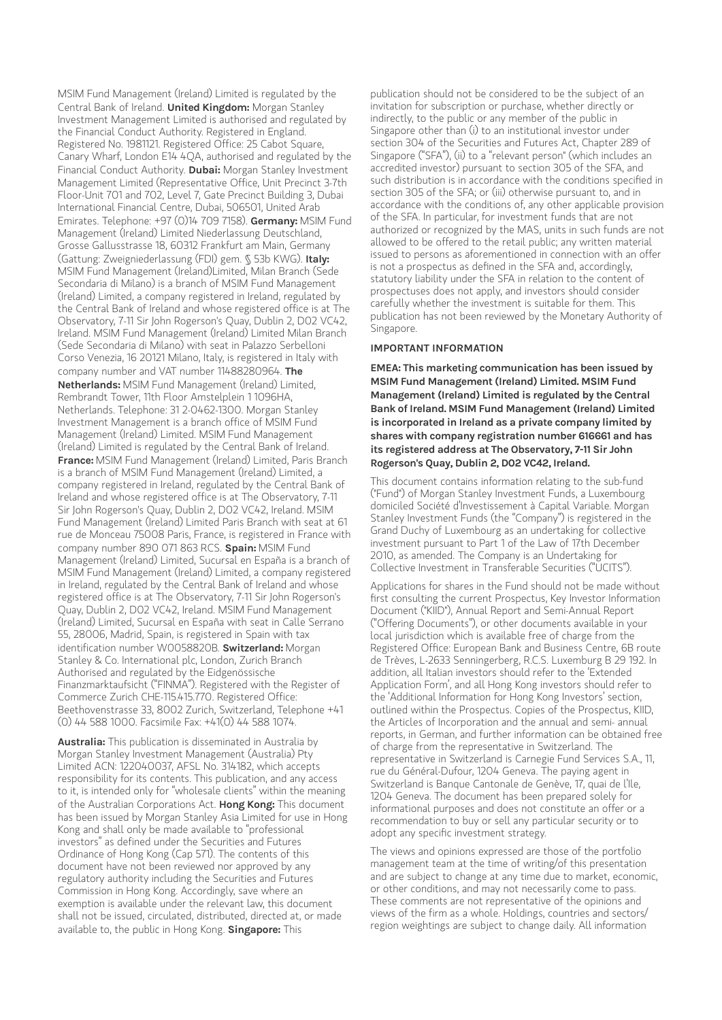MSIM Fund Management (Ireland) Limited is regulated by the Central Bank of Ireland. **United Kingdom:** Morgan Stanley Investment Management Limited is authorised and regulated by the Financial Conduct Authority. Registered in England. Registered No. 1981121. Registered Office: 25 Cabot Square, Canary Wharf, London E14 4QA, authorised and regulated by the Financial Conduct Authority. **Dubai:** Morgan Stanley Investment Management Limited (Representative Office, Unit Precinct 3-7th Floor-Unit 701 and 702, Level 7, Gate Precinct Building 3, Dubai International Financial Centre, Dubai, 506501, United Arab Emirates. Telephone: +97 (0)14 709 7158). **Germany:** MSIM Fund Management (Ireland) Limited Niederlassung Deutschland, Grosse Gallusstrasse 18, 60312 Frankfurt am Main, Germany (Gattung: Zweigniederlassung (FDI) gem. § 53b KWG). **Italy:** MSIM Fund Management (Ireland)Limited, Milan Branch (Sede Secondaria di Milano) is a branch of MSIM Fund Management (Ireland) Limited, a company registered in Ireland, regulated by the Central Bank of Ireland and whose registered office is at The Observatory, 7-11 Sir John Rogerson's Quay, Dublin 2, D02 VC42, Ireland. MSIM Fund Management (Ireland) Limited Milan Branch (Sede Secondaria di Milano) with seat in Palazzo Serbelloni Corso Venezia, 16 20121 Milano, Italy, is registered in Italy with company number and VAT number 11488280964. **The Netherlands:** MSIM Fund Management (Ireland) Limited, Rembrandt Tower, 11th Floor Amstelplein 1 1096HA, Netherlands. Telephone: 31 2-0462-1300. Morgan Stanley Investment Management is a branch office of MSIM Fund Management (Ireland) Limited. MSIM Fund Management (Ireland) Limited is regulated by the Central Bank of Ireland. **France:** MSIM Fund Management (Ireland) Limited, Paris Branch is a branch of MSIM Fund Management (Ireland) Limited, a company registered in Ireland, regulated by the Central Bank of Ireland and whose registered office is at The Observatory, 7-11 Sir John Rogerson's Quay, Dublin 2, D02 VC42, Ireland. MSIM Fund Management (Ireland) Limited Paris Branch with seat at 61 rue de Monceau 75008 Paris, France, is registered in France with company number 890 071 863 RCS. **Spain:** MSIM Fund Management (Ireland) Limited, Sucursal en España is a branch of MSIM Fund Management (Ireland) Limited, a company registered in Ireland, regulated by the Central Bank of Ireland and whose registered office is at The Observatory, 7-11 Sir John Rogerson's Quay, Dublin 2, D02 VC42, Ireland. MSIM Fund Management (Ireland) Limited, Sucursal en España with seat in Calle Serrano 55, 28006, Madrid, Spain, is registered in Spain with tax identification number W0058820B. **Switzerland:** Morgan Stanley & Co. International plc, London, Zurich Branch Authorised and regulated by the Eidgenössische Finanzmarktaufsicht ("FINMA"). Registered with the Register of Commerce Zurich CHE-115.415.770. Registered Office: Beethovenstrasse 33, 8002 Zurich, Switzerland, Telephone +41 (0) 44 588 1000. Facsimile Fax: +41(0) 44 588 1074.

**Australia:** This publication is disseminated in Australia by Morgan Stanley Investment Management (Australia) Pty Limited ACN: 122040037, AFSL No. 314182, which accepts responsibility for its contents. This publication, and any access to it, is intended only for "wholesale clients" within the meaning of the Australian Corporations Act. **Hong Kong:** This document has been issued by Morgan Stanley Asia Limited for use in Hong Kong and shall only be made available to "professional investors" as defined under the Securities and Futures Ordinance of Hong Kong (Cap 571). The contents of this document have not been reviewed nor approved by any regulatory authority including the Securities and Futures Commission in Hong Kong. Accordingly, save where an exemption is available under the relevant law, this document shall not be issued, circulated, distributed, directed at, or made available to, the public in Hong Kong. **Singapore:** This

publication should not be considered to be the subject of an invitation for subscription or purchase, whether directly or indirectly, to the public or any member of the public in Singapore other than (i) to an institutional investor under section 304 of the Securities and Futures Act, Chapter 289 of Singapore ("SFA"), (ii) to a "relevant person" (which includes an accredited investor) pursuant to section 305 of the SFA, and such distribution is in accordance with the conditions specified in section 305 of the SFA; or (iii) otherwise pursuant to, and in accordance with the conditions of, any other applicable provision of the SFA. In particular, for investment funds that are not authorized or recognized by the MAS, units in such funds are not allowed to be offered to the retail public; any written material issued to persons as aforementioned in connection with an offer is not a prospectus as defined in the SFA and, accordingly, statutory liability under the SFA in relation to the content of prospectuses does not apply, and investors should consider carefully whether the investment is suitable for them. This publication has not been reviewed by the Monetary Authority of Singapore.

#### **IMPORTANT INFORMATION**

**EMEA: This marketing communication has been issued by MSIM Fund Management (Ireland) Limited. MSIM Fund Management (Ireland) Limited is regulated by the Central Bank of Ireland. MSIM Fund Management (Ireland) Limited is incorporated in Ireland as a private company limited by shares with company registration number 616661 and has its registered address at The Observatory, 7-11 Sir John Rogerson's Quay, Dublin 2, D02 VC42, Ireland.**

This document contains information relating to the sub-fund ("Fund") of Morgan Stanley Investment Funds, a Luxembourg domiciled Société d'Investissement à Capital Variable. Morgan Stanley Investment Funds (the "Company") is registered in the Grand Duchy of Luxembourg as an undertaking for collective investment pursuant to Part 1 of the Law of 17th December 2010, as amended. The Company is an Undertaking for Collective Investment in Transferable Securities ("UCITS").

Applications for shares in the Fund should not be made without first consulting the current Prospectus, Key Investor Information Document ("KIID"), Annual Report and Semi-Annual Report ("Offering Documents"), or other documents available in your local jurisdiction which is available free of charge from the Registered Office: European Bank and Business Centre, 6B route de Trèves, L-2633 Senningerberg, R.C.S. Luxemburg B 29 192. In addition, all Italian investors should refer to the 'Extended Application Form', and all Hong Kong investors should refer to the 'Additional Information for Hong Kong Investors' section, outlined within the Prospectus. Copies of the Prospectus, KIID, the Articles of Incorporation and the annual and semi- annual reports, in German, and further information can be obtained free of charge from the representative in Switzerland. The representative in Switzerland is Carnegie Fund Services S.A., 11, rue du Général-Dufour, 1204 Geneva. The paying agent in Switzerland is Banque Cantonale de Genève, 17, quai de l'Ile, 1204 Geneva. The document has been prepared solely for informational purposes and does not constitute an offer or a recommendation to buy or sell any particular security or to adopt any specific investment strategy.

The views and opinions expressed are those of the portfolio management team at the time of writing/of this presentation and are subject to change at any time due to market, economic, or other conditions, and may not necessarily come to pass. These comments are not representative of the opinions and views of the firm as a whole. Holdings, countries and sectors/ region weightings are subject to change daily. All information